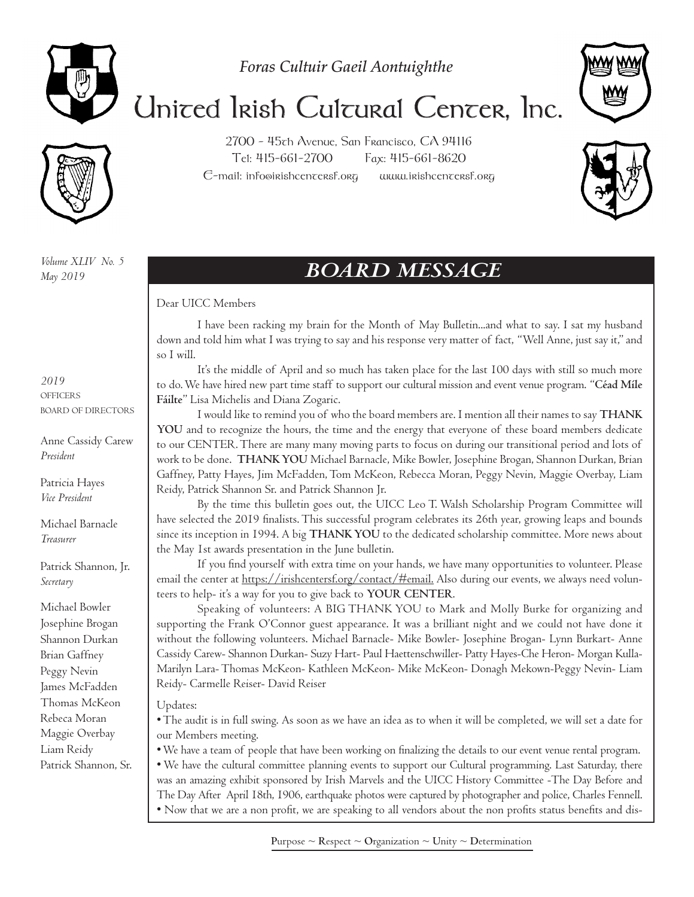

*Foras Cultuir Gaeil Aontuighthe*



## United Irish Cultural Center, Inc.

2700 - 45th Avenue, San Francisco, CA 94116 Tel: 415-661-2700 Fax: 415-661-8620  $C$ -mail: info@irishcen $\tau$ ersf.org www.irishcen $\tau$ ersf.org

*Volume XLIV No. 5 May 2019*

## *BOARD MESSAGE*

#### Dear UICC Members

I have been racking my brain for the Month of May Bulletin...and what to say. I sat my husband down and told him what I was trying to say and his response very matter of fact, "Well Anne, just say it," and so I will.

It's the middle of April and so much has taken place for the last 100 days with still so much more to do. We have hired new part time staff to support our cultural mission and event venue program. "**Céad Míle Fáilte**" Lisa Michelis and Diana Zogaric.

I would like to remind you of who the board members are. I mention all their names to say **THANK YOU** and to recognize the hours, the time and the energy that everyone of these board members dedicate to our CENTER. There are many many moving parts to focus on during our transitional period and lots of work to be done. **THANK YOU** Michael Barnacle, Mike Bowler, Josephine Brogan, Shannon Durkan, Brian Gaffney, Patty Hayes, Jim McFadden, Tom McKeon, Rebecca Moran, Peggy Nevin, Maggie Overbay, Liam Reidy, Patrick Shannon Sr. and Patrick Shannon Jr.

By the time this bulletin goes out, the UICC Leo T. Walsh Scholarship Program Committee will have selected the 2019 finalists. This successful program celebrates its 26th year, growing leaps and bounds since its inception in 1994. A big **THANK YOU** to the dedicated scholarship committee. More news about the May 1st awards presentation in the June bulletin.

If you find yourself with extra time on your hands, we have many opportunities to volunteer. Please email the center at https://irishcentersf.org/contact/#email. Also during our events, we always need volunteers to help- it's a way for you to give back to **YOUR CENTER**.

Speaking of volunteers: A BIG THANK YOU to Mark and Molly Burke for organizing and supporting the Frank O'Connor guest appearance. It was a brilliant night and we could not have done it without the following volunteers. Michael Barnacle- Mike Bowler- Josephine Brogan- Lynn Burkart- Anne Cassidy Carew- Shannon Durkan- Suzy Hart- Paul Haettenschwiller- Patty Hayes-Che Heron- Morgan Kulla-Marilyn Lara- Thomas McKeon- Kathleen McKeon- Mike McKeon- Donagh Mekown-Peggy Nevin- Liam Reidy- Carmelle Reiser- David Reiser

#### Updates:

• The audit is in full swing. As soon as we have an idea as to when it will be completed, we will set a date for our Members meeting.

• We have a team of people that have been working on finalizing the details to our event venue rental program. • We have the cultural committee planning events to support our Cultural programming. Last Saturday, there was an amazing exhibit sponsored by Irish Marvels and the UICC History Committee -The Day Before and The Day After April 18th, 1906, earthquake photos were captured by photographer and police, Charles Fennell.

• Now that we are a non profit, we are speaking to all vendors about the non profits status benefits and dis-

*2019* **OFFICERS** BOARD OF DIRECTORS

Anne Cassidy Carew *President*

Patricia Hayes *Vice President*

Michael Barnacle *Treasurer*

Patrick Shannon, Jr. *Secretary*

Michael Bowler Josephine Brogan Shannon Durkan Brian Gaffney Peggy Nevin James McFadden Thomas McKeon Rebeca Moran Maggie Overbay Liam Reidy Patrick Shannon, Sr.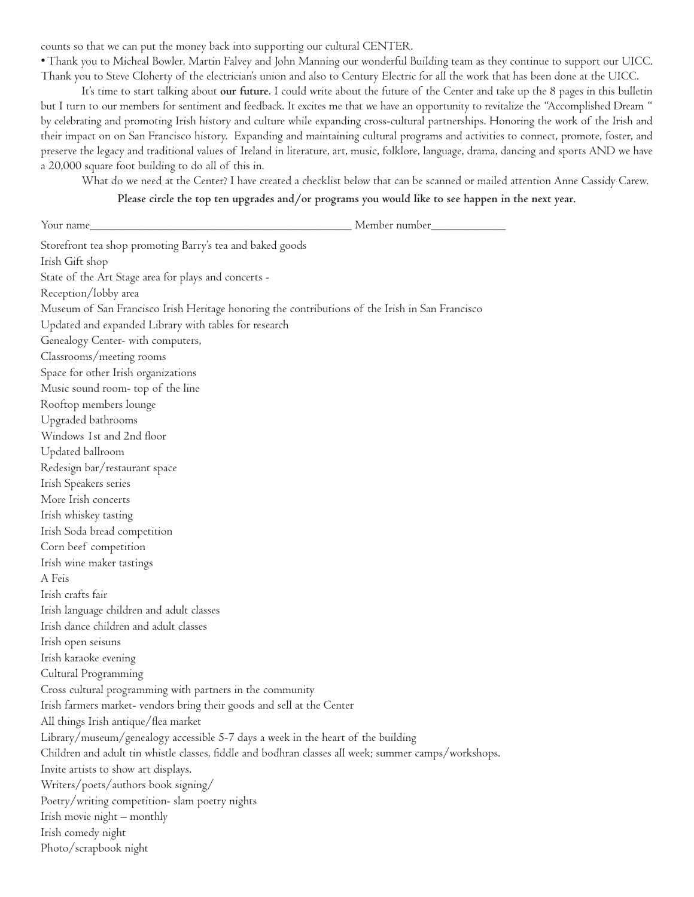counts so that we can put the money back into supporting our cultural CENTER.

• Thank you to Micheal Bowler, Martin Falvey and John Manning our wonderful Building team as they continue to support our UICC. Thank you to Steve Cloherty of the electrician's union and also to Century Electric for all the work that has been done at the UICC.

It's time to start talking about **our future**. I could write about the future of the Center and take up the 8 pages in this bulletin but I turn to our members for sentiment and feedback. It excites me that we have an opportunity to revitalize the "Accomplished Dream " by celebrating and promoting Irish history and culture while expanding cross-cultural partnerships. Honoring the work of the Irish and their impact on on San Francisco history. Expanding and maintaining cultural programs and activities to connect, promote, foster, and preserve the legacy and traditional values of Ireland in literature, art, music, folklore, language, drama, dancing and sports AND we have a 20,000 square foot building to do all of this in.

What do we need at the Center? I have created a checklist below that can be scanned or mailed attention Anne Cassidy Carew.

#### **Please circle the top ten upgrades and/or programs you would like to see happen in the next year.**

| Member number_________<br>Your name                                                                  |
|------------------------------------------------------------------------------------------------------|
| Storefront tea shop promoting Barry's tea and baked goods                                            |
| Irish Gift shop                                                                                      |
| State of the Art Stage area for plays and concerts -                                                 |
| Reception/lobby area                                                                                 |
| Museum of San Francisco Irish Heritage honoring the contributions of the Irish in San Francisco      |
| Updated and expanded Library with tables for research                                                |
| Genealogy Center- with computers,                                                                    |
| Classrooms/meeting rooms                                                                             |
| Space for other Irish organizations                                                                  |
| Music sound room- top of the line                                                                    |
| Rooftop members lounge                                                                               |
| Upgraded bathrooms                                                                                   |
| Windows Ist and 2nd floor                                                                            |
| Updated ballroom                                                                                     |
| Redesign bar/restaurant space                                                                        |
| Irish Speakers series                                                                                |
| More Irish concerts                                                                                  |
| Irish whiskey tasting                                                                                |
| Irish Soda bread competition                                                                         |
| Corn beef competition                                                                                |
| Irish wine maker tastings                                                                            |
| A Feis                                                                                               |
| Irish crafts fair                                                                                    |
| Irish language children and adult classes                                                            |
| Irish dance children and adult classes                                                               |
| Irish open seisuns                                                                                   |
| Irish karaoke evening                                                                                |
| Cultural Programming                                                                                 |
| Cross cultural programming with partners in the community                                            |
| Irish farmers market- vendors bring their goods and sell at the Center                               |
| All things Irish antique/flea market                                                                 |
| Library/museum/genealogy accessible 5-7 days a week in the heart of the building                     |
| Children and adult tin whistle classes, fiddle and bodhran classes all week; summer camps/workshops. |
| Invite artists to show art displays.                                                                 |
| Writers/poets/authors book signing/                                                                  |
| Poetry/writing competition- slam poetry nights                                                       |
| Irish movie night - monthly                                                                          |
| Irish comedy night                                                                                   |
| Photo/scrapbook night                                                                                |
|                                                                                                      |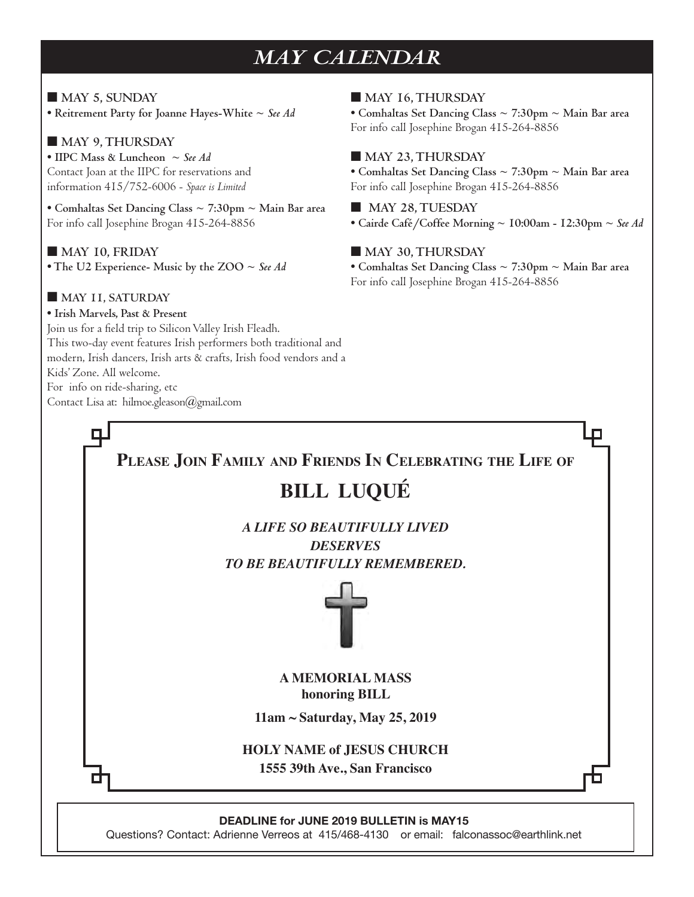## *MAY CALENDAR*

■ **MAY 5, SUNDAY • Reitrement Party for Joanne Hayes-White ~** *See Ad*

#### ■ **MAY 9, THURSDAY**

**• IIPC Mass & Luncheon ~** *See Ad* Contact Joan at the IIPC for reservations and information 415/752-6006 - *Space is Limited*

**• Comhaltas Set Dancing Class ~ 7:30pm ~ Main Bar area** For info call Josephine Brogan 415-264-8856

■ **MAY 10, FRIDAY • The U2 Experience- Music by the ZOO ~** *See Ad*

#### ■ **MAY 11, SATURDAY**

**• Irish Marvels, Past & Present**  Join us for a field trip to Silicon Valley Irish Fleadh. This two-day event features Irish performers both traditional and modern, Irish dancers, Irish arts & crafts, Irish food vendors and a Kids' Zone. All welcome. For info on ride-sharing, etc Contact Lisa at: hilmoe.gleason@gmail.com

■ **MAY 16, THURSDAY • Comhaltas Set Dancing Class ~ 7:30pm ~ Main Bar area** For info call Josephine Brogan 415-264-8856

#### ■ **MAY 23, THURSDAY**

**• Comhaltas Set Dancing Class ~ 7:30pm ~ Main Bar area** For info call Josephine Brogan 415-264-8856

■ **MAY 28, TUESDAY • Cairde Café/Coffee Morning ~ 10:00am - 12:30pm ~** *See Ad*

#### ■ **MAY 30, THURSDAY**

**• Comhaltas Set Dancing Class ~ 7:30pm ~ Main Bar area** For info call Josephine Brogan 415-264-8856

#### **Please Join Family and Friends In Celebrating the Life of**

#### **BILL LUQUÉ**

*A LIFE SO BEAUTIFULLY LIVED DESERVES TO BE BEAUTIFULLY REMEMBERED.*



**A MEMORIAL MASS honoring BILL**

**11am ~ Saturday, May 25, 2019**

**HOLY NAME of JESUS CHURCH 1555 39th Ave., San Francisco**

**DEADLINE for JUNE 2019 BULLETIN is MAY15**

Questions? Contact: Adrienne Verreos at 415/468-4130 or email: falconassoc@earthlink.net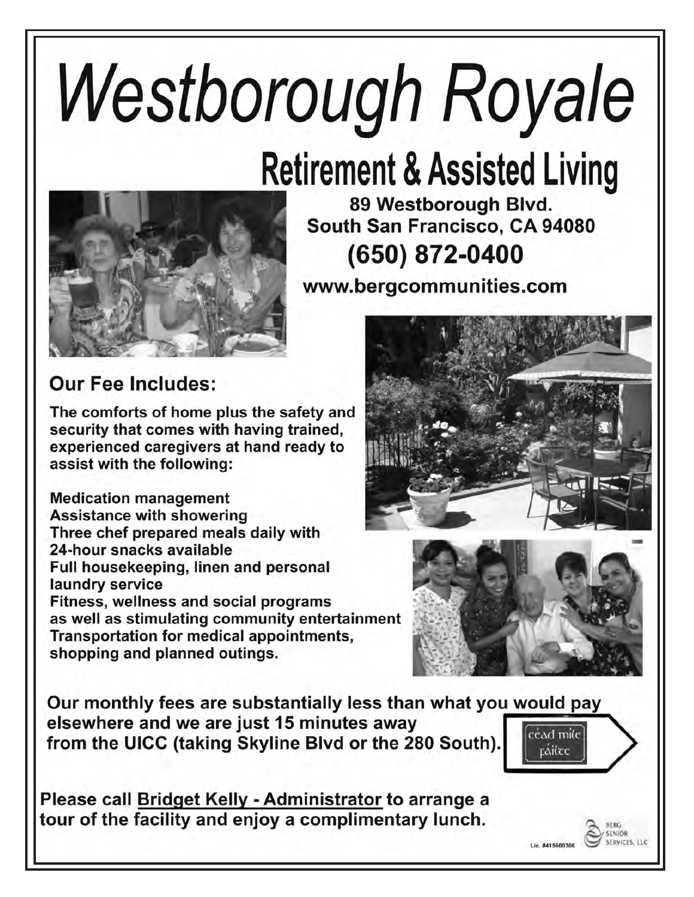# **Westborough Royale**

# **Retirement & Assisted Living**



89 Westborough Blvd. South San Francisco, CA 94080 (650) 872-0400

www.bergcommunities.com

## **Our Fee Includes:**

The comforts of home plus the safety and security that comes with having trained, experienced caregivers at hand ready to assist with the following:

**Medication management Assistance with showering** Three chef prepared meals daily with 24-hour snacks available Full housekeeping, linen and personal laundry service Fitness, wellness and social programs as well as stimulating community entertainment Transportation for medical appointments, shopping and planned outings.





Our monthly fees are substantially less than what you would pay elsewhere and we are just 15 minutes away  $\lceil$ céad mile $\rceil$ from the UICC (taking Skyline Blvd or the 280 South).

Please call Bridget Kelly - Administrator to arrange a tour of the facility and enjoy a complimentary lunch.



Lic. #415600306

**BERG SENIOR SERVICES LLC**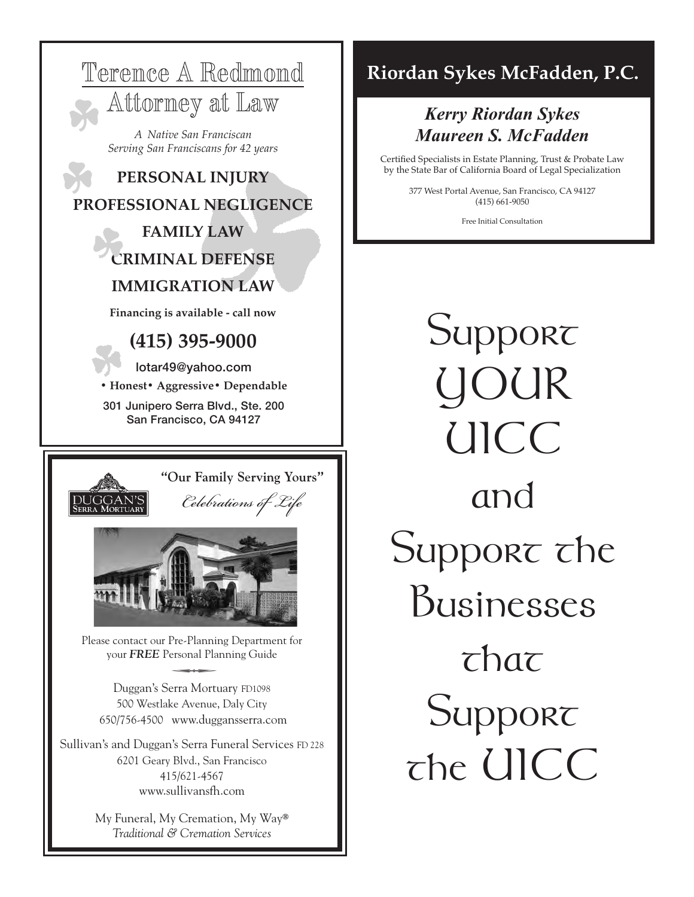

6201 Geary Blvd., San Francisco 415/621-4567 www.sullivansfh.com

> My Funeral, My Cremation, My Way® *Traditional & Cremation Services*

## **Riordan Sykes McFadden, P.C.**

#### *Kerry Riordan Sykes Maureen S. McFadden* aureen S. McFaa

Certified Specialists in Estate Planning, Trust & Probate Law by the State Bar of California Board of Legal Specialization

> 377 West Portal Avenue, San Francisco, CA 94127 (415) 661-9050

> > Free Initial Consultation

**Support** YOUR UICC and Support the Businesses  $\tau$ hat Support the UICC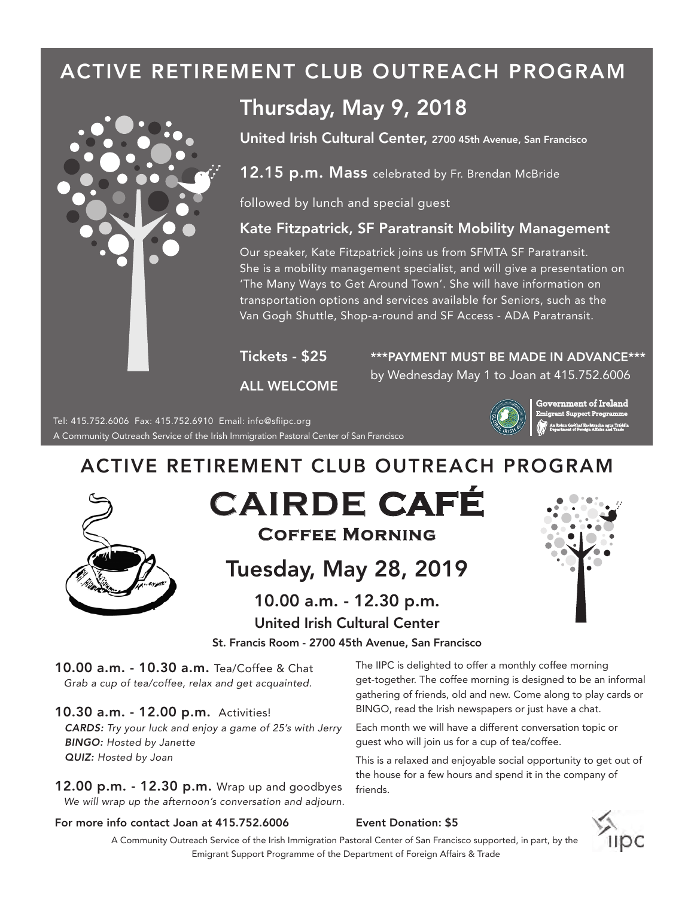## ACTIVE RETIREMENT CLUB OUTREACH PROGRAM



## Thursday, May 9, 2018

United Irish Cultural Center, 2700 45th Avenue, San Francisco

 $12.15$  p.m. Mass celebrated by Fr. Brendan McBride

followed by lunch and special guest

#### Kate Fitzpatrick, SF Paratransit Mobility Management

Our speaker, Kate Fitzpatrick joins us from SFMTA SF Paratransit. She is a mobility management specialist, and will give a presentation on 'The Many Ways to Get Around Town'. She will have information on transportation options and services available for Seniors, such as the Van Gogh Shuttle, Shop-a-round and SF Access - ADA Paratransit.

Tickets - \$25

\*\*\*PAYMENT MUST BE MADE IN ADVANCE\*\*\* by Wednesday May 1 to Joan at 415.752.6006

ALL WELCOME



**Government of Ireland Emigrant Support Programme**

## A Community Outreach Service of the Irish Immigration Pastoral Center of San Francisco

#### ACTIVE RETIREMENT CLUB OUTREACH PROGRAM



## Tuesday, May 28, 2019

## 10.00 a.m. - 12.30 p.m.

#### United Irish Cultural Center



St. Francis Room - 2700 45th Avenue, San Francisco

10.00 a.m. - 10.30 a.m. Tea/Coffee & Chat *Grab a cup of tea/coffee, relax and get acquainted.*

Tel: 415.752.6006 Fax: 415.752.6910 Email: info@sfiipc.org

10.30 a.m. - 12.00 p.m. Activities! *CARDS: Try your luck and enjoy a game of 25's with Jerry BINGO: Hosted by Janette QUIZ: Hosted by Joan*

12.00 p.m. - 12.30 p.m. Wrap up and goodbyes  $f_{\text{friends}}$ . *We will wrap up the afternoon's conversation and adjourn.*

The IIPC is delighted to offer a monthly coffee morning get-together. The coffee morning is designed to be an informal gathering of friends, old and new. Come along to play cards or BINGO, read the Irish newspapers or just have a chat.

guest who will join us for a cup of tea/coffee. Each month we will have a different conversation topic or

This is a relaxed and enjoyable social opportunity to get out of the house for a few hours and spend it in the company of

#### For more info contact Joan at 415.752.6006

A Community Outreach Service of the Irish Immigration Pastoral Center of San Francisco supported, in part, by the Emigrant Support Programme of the Department of Foreign Affairs & Trade

Event Donation: \$5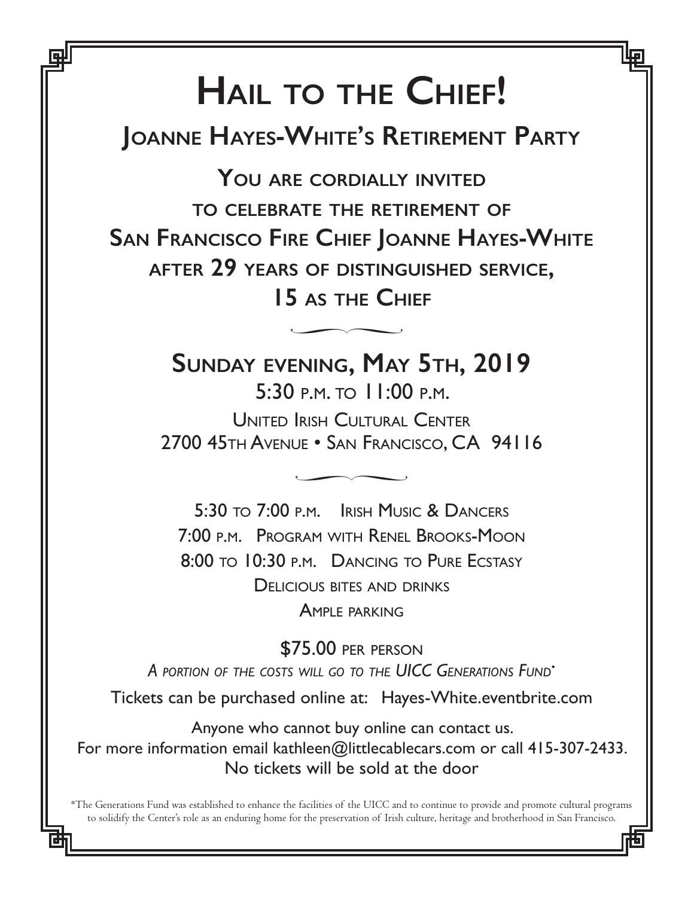# **Hail to the Chief!**

**Joanne Hayes-White's Retirement Party**

**You are cordially invited to celebrate the retirement of San Francisco Fire Chief Joanne Hayes-White after 29 years of distinguished service, 15 as the Chief**  $\overline{P}$ 

> **Sunday evening, May 5th, 2019** 5:30 p.m. to 11:00 p.m.

United Irish Cultural Center 2700 45th Avenue • San Francisco, CA 94116  $\overline{\phantom{a}}$ 

5:30 to 7:00 p.m. Irish Music & Dancers 7:00 p.m. Program with Renel Brooks-Moon 8:00 to 10:30 p.m. Dancing to Pure Ecstasy Delicious bites and drinks Ample parking

\$75.00 per person *A portion of the costs will go to the UICC Generations Fund•* Tickets can be purchased online at: Hayes-White.eventbrite.com

Anyone who cannot buy online can contact us. For more information email kathleen@littlecablecars.com or call 415-307-2433. No tickets will be sold at the door

\*The Generations Fund was established to enhance the facilities of the UICC and to continue to provide and promote cultural programs to solidify the Center's role as an enduring home for the preservation of Irish culture, heritage and brotherhood in San Francisco.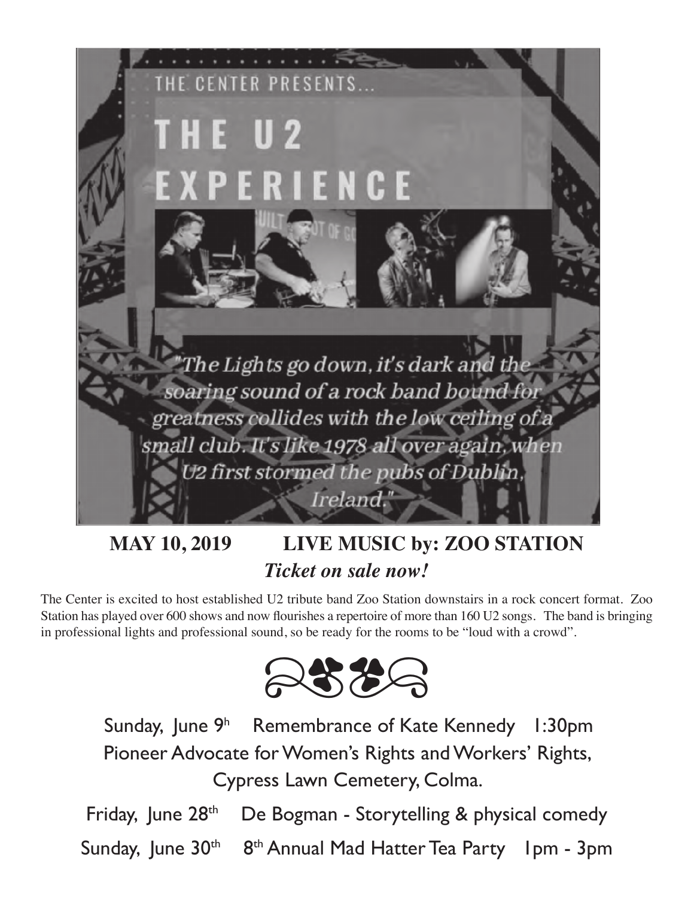

## **MAY 10, 2019 LIVE MUSIC by: ZOO STATION** *Ticket on sale now!*

The Center is excited to host established U2 tribute band Zoo Station downstairs in a rock concert format. Zoo Station has played over 600 shows and now flourishes a repertoire of more than 160 U2 songs. The band is bringing in professional lights and professional sound, so be ready for the rooms to be "loud with a crowd".



Sunday, June 9h Remembrance of Kate Kennedy 1:30pm Pioneer Advocate for Women's Rights and Workers' Rights, Cypress Lawn Cemetery, Colma.

Friday, June  $28<sup>th</sup>$  De Bogman - Storytelling & physical comedy Sunday, June 30<sup>th</sup> 8<sup>th</sup> Annual Mad Hatter Tea Party 1pm - 3pm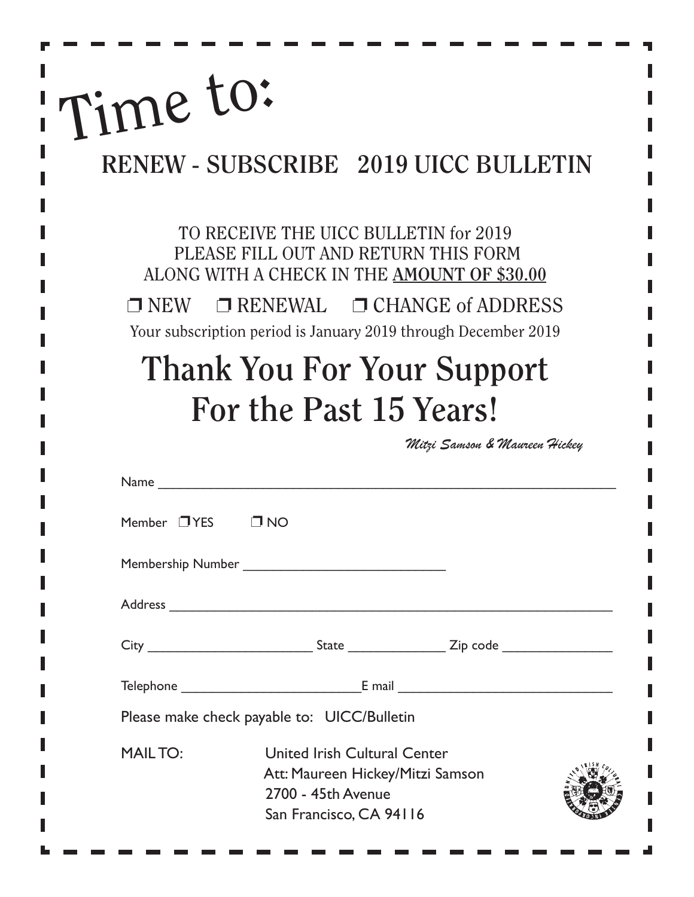# Time to:

ľ

## **RENEW - SUBSCRIBE 2019 UICC BULLETIN**

TO RECEIVE THE UICC BULLETIN for 2019 PLEASE FILL OUT AND RETURN THIS FORM ALONG WITH A CHECK IN THE **AMOUNT OF \$30.00**

 $\Box$  NEW  $\Box$  RENEWAL  $\Box$  CHANGE of ADDRESS Your subscription period is January 2019 through December 2019

## **Thank You For Your Support For the Past 15 Years!**

*Mitzi Samson & Maureen Hickey*

|                             | Name                                                                                                                     |  |
|-----------------------------|--------------------------------------------------------------------------------------------------------------------------|--|
| Member $\Box$ YES $\Box$ NO |                                                                                                                          |  |
|                             |                                                                                                                          |  |
|                             |                                                                                                                          |  |
|                             | City _________________________________State ______________________Zip code _________________________                     |  |
|                             |                                                                                                                          |  |
|                             | Please make check payable to: UICC/Bulletin                                                                              |  |
| <b>MAILTO:</b>              | <b>United Irish Cultural Center</b><br>Att: Maureen Hickey/Mitzi Samson<br>2700 - 45th Avenue<br>San Francisco, CA 94116 |  |